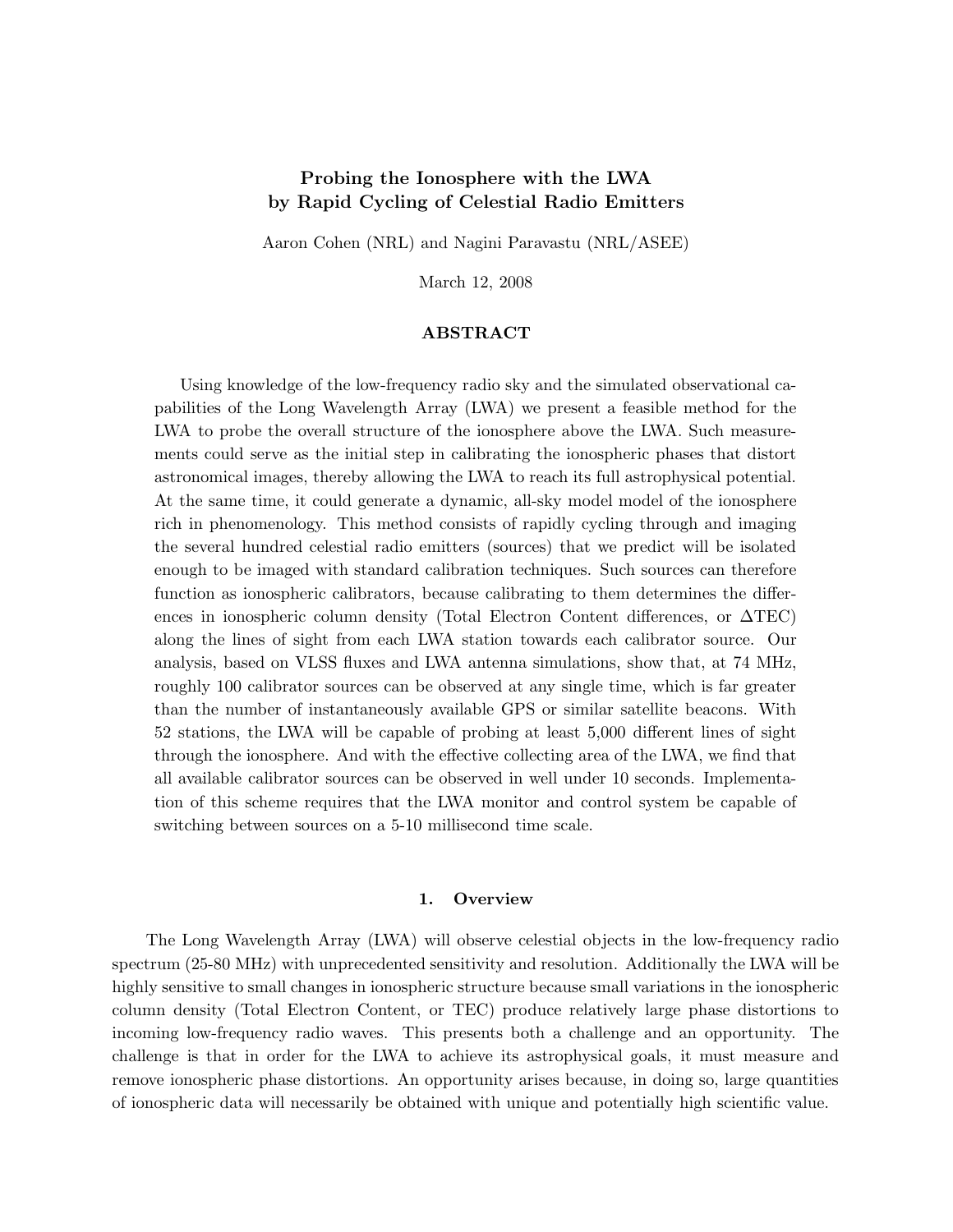# Probing the Ionosphere with the LWA by Rapid Cycling of Celestial Radio Emitters

Aaron Cohen (NRL) and Nagini Paravastu (NRL/ASEE)

March 12, 2008

## ABSTRACT

Using knowledge of the low-frequency radio sky and the simulated observational capabilities of the Long Wavelength Array (LWA) we present a feasible method for the LWA to probe the overall structure of the ionosphere above the LWA. Such measurements could serve as the initial step in calibrating the ionospheric phases that distort astronomical images, thereby allowing the LWA to reach its full astrophysical potential. At the same time, it could generate a dynamic, all-sky model model of the ionosphere rich in phenomenology. This method consists of rapidly cycling through and imaging the several hundred celestial radio emitters (sources) that we predict will be isolated enough to be imaged with standard calibration techniques. Such sources can therefore function as ionospheric calibrators, because calibrating to them determines the differences in ionospheric column density (Total Electron Content differences, or ∆TEC) along the lines of sight from each LWA station towards each calibrator source. Our analysis, based on VLSS fluxes and LWA antenna simulations, show that, at 74 MHz, roughly 100 calibrator sources can be observed at any single time, which is far greater than the number of instantaneously available GPS or similar satellite beacons. With 52 stations, the LWA will be capable of probing at least 5,000 different lines of sight through the ionosphere. And with the effective collecting area of the LWA, we find that all available calibrator sources can be observed in well under 10 seconds. Implementation of this scheme requires that the LWA monitor and control system be capable of switching between sources on a 5-10 millisecond time scale.

## 1. Overview

The Long Wavelength Array (LWA) will observe celestial objects in the low-frequency radio spectrum (25-80 MHz) with unprecedented sensitivity and resolution. Additionally the LWA will be highly sensitive to small changes in ionospheric structure because small variations in the ionospheric column density (Total Electron Content, or TEC) produce relatively large phase distortions to incoming low-frequency radio waves. This presents both a challenge and an opportunity. The challenge is that in order for the LWA to achieve its astrophysical goals, it must measure and remove ionospheric phase distortions. An opportunity arises because, in doing so, large quantities of ionospheric data will necessarily be obtained with unique and potentially high scientific value.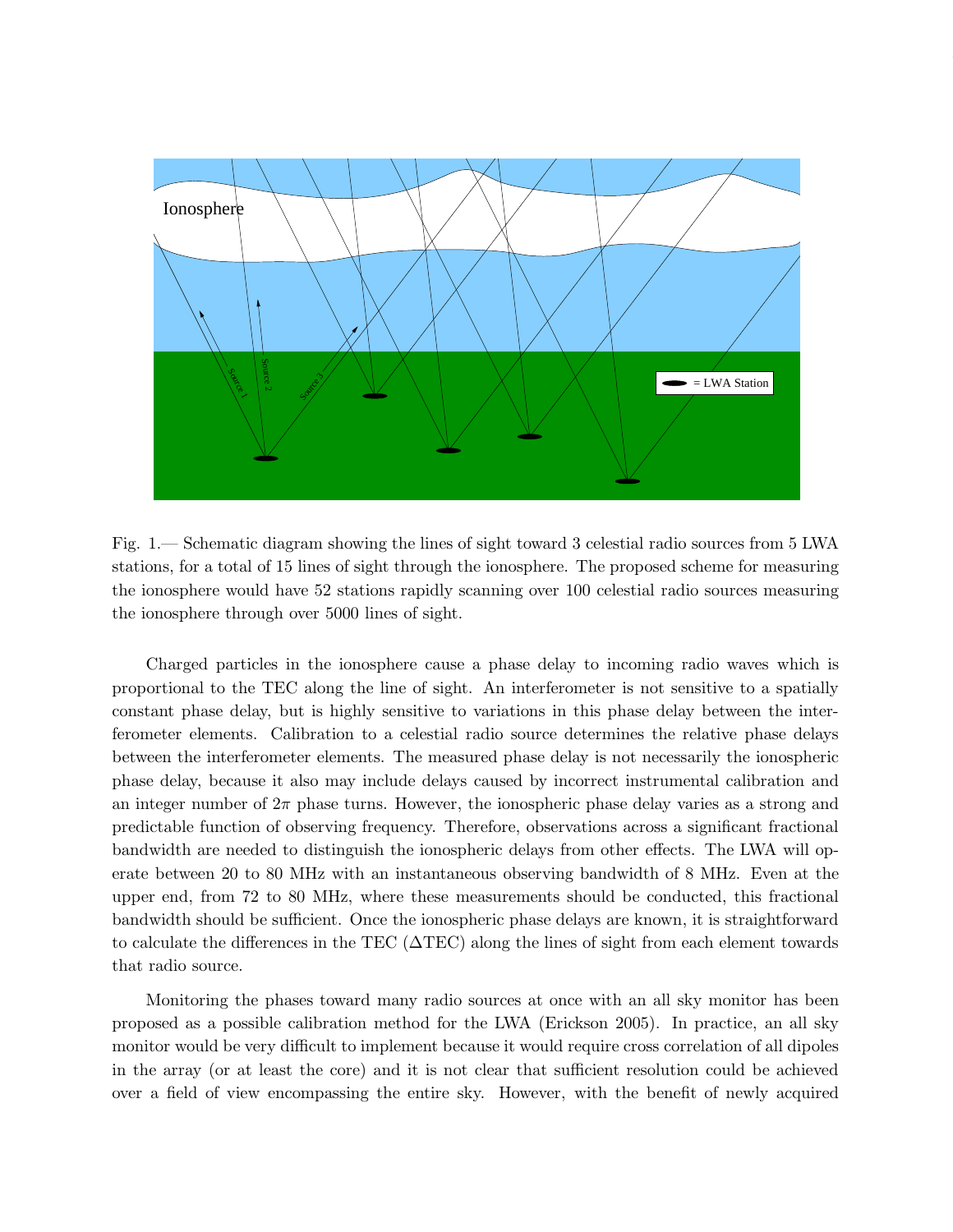

Fig. 1.— Schematic diagram showing the lines of sight toward 3 celestial radio sources from 5 LWA stations, for a total of 15 lines of sight through the ionosphere. The proposed scheme for measuring the ionosphere would have 52 stations rapidly scanning over 100 celestial radio sources measuring the ionosphere through over 5000 lines of sight.

Charged particles in the ionosphere cause a phase delay to incoming radio waves which is proportional to the TEC along the line of sight. An interferometer is not sensitive to a spatially constant phase delay, but is highly sensitive to variations in this phase delay between the interferometer elements. Calibration to a celestial radio source determines the relative phase delays between the interferometer elements. The measured phase delay is not necessarily the ionospheric phase delay, because it also may include delays caused by incorrect instrumental calibration and an integer number of  $2\pi$  phase turns. However, the ionospheric phase delay varies as a strong and predictable function of observing frequency. Therefore, observations across a significant fractional bandwidth are needed to distinguish the ionospheric delays from other effects. The LWA will operate between 20 to 80 MHz with an instantaneous observing bandwidth of 8 MHz. Even at the upper end, from 72 to 80 MHz, where these measurements should be conducted, this fractional bandwidth should be sufficient. Once the ionospheric phase delays are known, it is straightforward to calculate the differences in the TEC (∆TEC) along the lines of sight from each element towards that radio source.

Monitoring the phases toward many radio sources at once with an all sky monitor has been proposed as a possible calibration method for the LWA (Erickson 2005). In practice, an all sky monitor would be very difficult to implement because it would require cross correlation of all dipoles in the array (or at least the core) and it is not clear that sufficient resolution could be achieved over a field of view encompassing the entire sky. However, with the benefit of newly acquired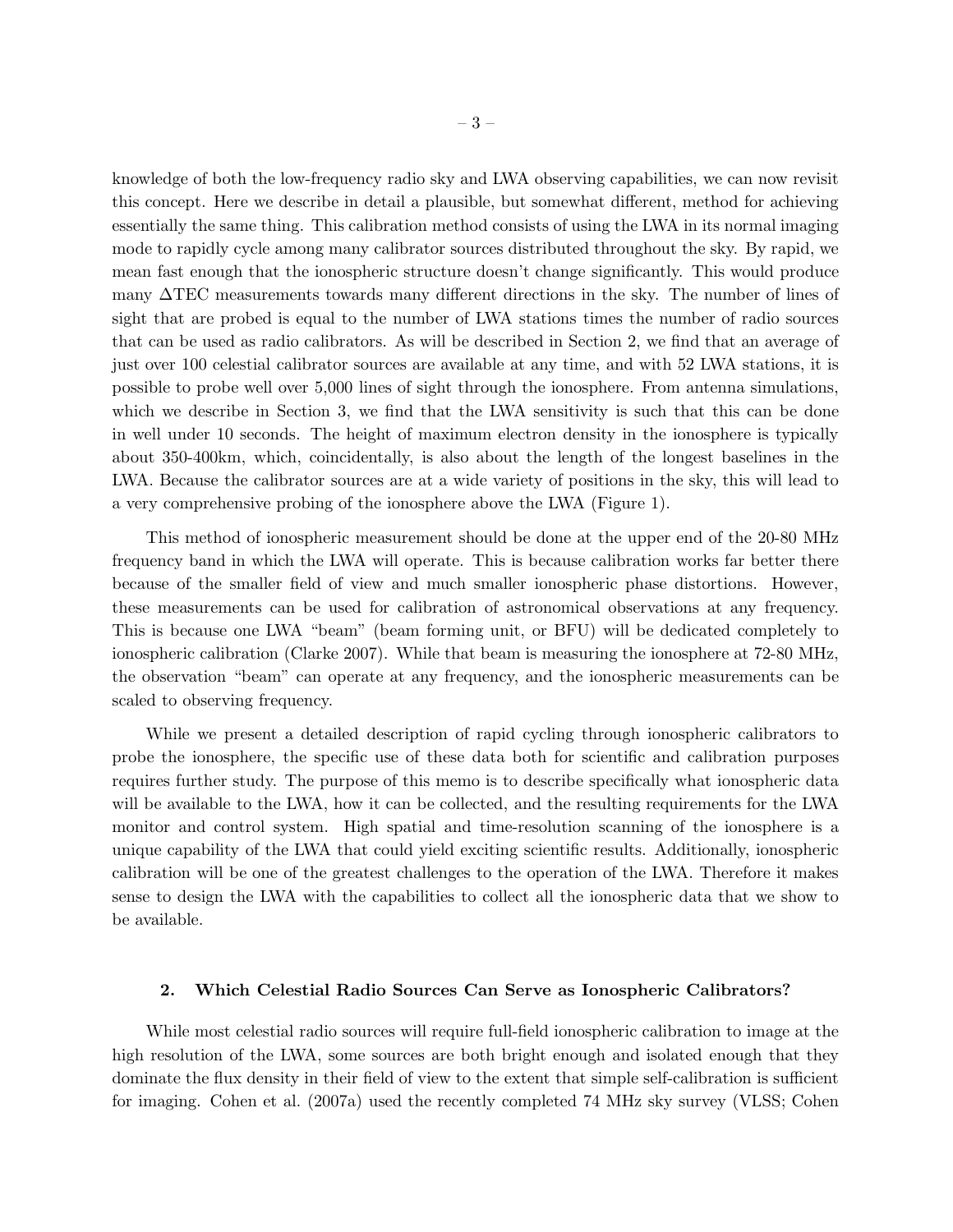knowledge of both the low-frequency radio sky and LWA observing capabilities, we can now revisit this concept. Here we describe in detail a plausible, but somewhat different, method for achieving essentially the same thing. This calibration method consists of using the LWA in its normal imaging mode to rapidly cycle among many calibrator sources distributed throughout the sky. By rapid, we mean fast enough that the ionospheric structure doesn't change significantly. This would produce many ∆TEC measurements towards many different directions in the sky. The number of lines of sight that are probed is equal to the number of LWA stations times the number of radio sources that can be used as radio calibrators. As will be described in Section 2, we find that an average of just over 100 celestial calibrator sources are available at any time, and with 52 LWA stations, it is possible to probe well over 5,000 lines of sight through the ionosphere. From antenna simulations, which we describe in Section 3, we find that the LWA sensitivity is such that this can be done in well under 10 seconds. The height of maximum electron density in the ionosphere is typically about 350-400km, which, coincidentally, is also about the length of the longest baselines in the LWA. Because the calibrator sources are at a wide variety of positions in the sky, this will lead to a very comprehensive probing of the ionosphere above the LWA (Figure 1).

This method of ionospheric measurement should be done at the upper end of the 20-80 MHz frequency band in which the LWA will operate. This is because calibration works far better there because of the smaller field of view and much smaller ionospheric phase distortions. However, these measurements can be used for calibration of astronomical observations at any frequency. This is because one LWA "beam" (beam forming unit, or BFU) will be dedicated completely to ionospheric calibration (Clarke 2007). While that beam is measuring the ionosphere at 72-80 MHz, the observation "beam" can operate at any frequency, and the ionospheric measurements can be scaled to observing frequency.

While we present a detailed description of rapid cycling through ionospheric calibrators to probe the ionosphere, the specific use of these data both for scientific and calibration purposes requires further study. The purpose of this memo is to describe specifically what ionospheric data will be available to the LWA, how it can be collected, and the resulting requirements for the LWA monitor and control system. High spatial and time-resolution scanning of the ionosphere is a unique capability of the LWA that could yield exciting scientific results. Additionally, ionospheric calibration will be one of the greatest challenges to the operation of the LWA. Therefore it makes sense to design the LWA with the capabilities to collect all the ionospheric data that we show to be available.

## 2. Which Celestial Radio Sources Can Serve as Ionospheric Calibrators?

While most celestial radio sources will require full-field ionospheric calibration to image at the high resolution of the LWA, some sources are both bright enough and isolated enough that they dominate the flux density in their field of view to the extent that simple self-calibration is sufficient for imaging. Cohen et al. (2007a) used the recently completed 74 MHz sky survey (VLSS; Cohen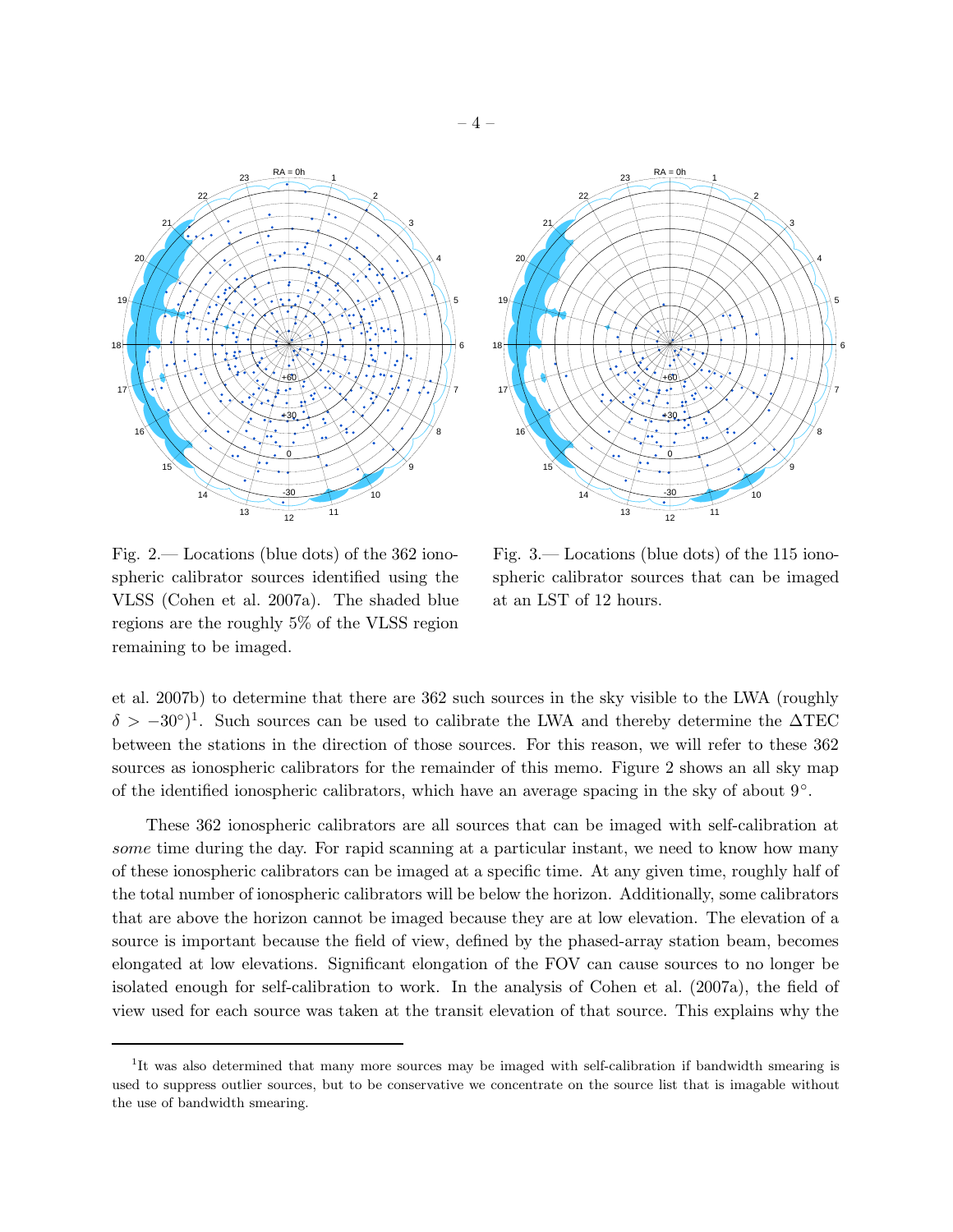

Fig. 2.— Locations (blue dots) of the 362 ionospheric calibrator sources identified using the VLSS (Cohen et al. 2007a). The shaded blue regions are the roughly 5% of the VLSS region remaining to be imaged.

Fig. 3.— Locations (blue dots) of the 115 ionospheric calibrator sources that can be imaged at an LST of 12 hours.

et al. 2007b) to determine that there are 362 such sources in the sky visible to the LWA (roughly  $\delta > -30°$ <sup>1</sup>. Such sources can be used to calibrate the LWA and thereby determine the  $\Delta \text{TEC}$ between the stations in the direction of those sources. For this reason, we will refer to these 362 sources as ionospheric calibrators for the remainder of this memo. Figure 2 shows an all sky map of the identified ionospheric calibrators, which have an average spacing in the sky of about  $9^{\circ}$ .

These 362 ionospheric calibrators are all sources that can be imaged with self-calibration at some time during the day. For rapid scanning at a particular instant, we need to know how many of these ionospheric calibrators can be imaged at a specific time. At any given time, roughly half of the total number of ionospheric calibrators will be below the horizon. Additionally, some calibrators that are above the horizon cannot be imaged because they are at low elevation. The elevation of a source is important because the field of view, defined by the phased-array station beam, becomes elongated at low elevations. Significant elongation of the FOV can cause sources to no longer be isolated enough for self-calibration to work. In the analysis of Cohen et al. (2007a), the field of view used for each source was taken at the transit elevation of that source. This explains why the

<sup>&</sup>lt;sup>1</sup>It was also determined that many more sources may be imaged with self-calibration if bandwidth smearing is used to suppress outlier sources, but to be conservative we concentrate on the source list that is imagable without the use of bandwidth smearing.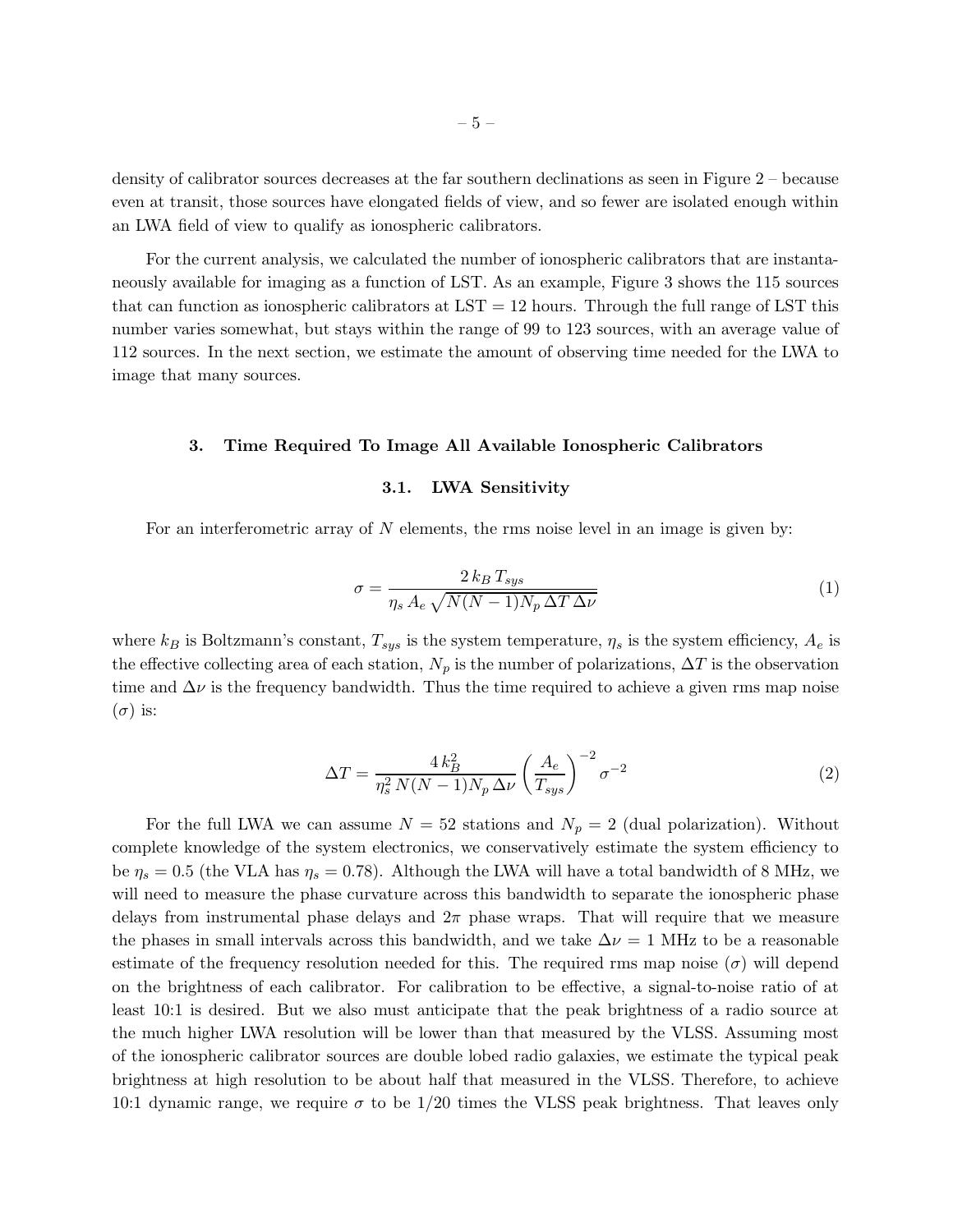density of calibrator sources decreases at the far southern declinations as seen in Figure 2 – because even at transit, those sources have elongated fields of view, and so fewer are isolated enough within an LWA field of view to qualify as ionospheric calibrators.

For the current analysis, we calculated the number of ionospheric calibrators that are instantaneously available for imaging as a function of LST. As an example, Figure 3 shows the 115 sources that can function as ionospheric calibrators at  $LST = 12$  hours. Through the full range of LST this number varies somewhat, but stays within the range of 99 to 123 sources, with an average value of 112 sources. In the next section, we estimate the amount of observing time needed for the LWA to image that many sources.

#### 3. Time Required To Image All Available Ionospheric Calibrators

### 3.1. LWA Sensitivity

For an interferometric array of  $N$  elements, the rms noise level in an image is given by:

$$
\sigma = \frac{2 k_B T_{sys}}{\eta_s A_e \sqrt{N(N-1) N_p \Delta T \Delta \nu}}\tag{1}
$$

where  $k_B$  is Boltzmann's constant,  $T_{sys}$  is the system temperature,  $\eta_s$  is the system efficiency,  $A_e$  is the effective collecting area of each station,  $N_p$  is the number of polarizations,  $\Delta T$  is the observation time and  $\Delta \nu$  is the frequency bandwidth. Thus the time required to achieve a given rms map noise  $(\sigma)$  is:

$$
\Delta T = \frac{4 k_B^2}{\eta_s^2 N (N - 1) N_p \Delta \nu} \left(\frac{A_e}{T_{sys}}\right)^{-2} \sigma^{-2}
$$
 (2)

For the full LWA we can assume  $N = 52$  stations and  $N_p = 2$  (dual polarization). Without complete knowledge of the system electronics, we conservatively estimate the system efficiency to be  $\eta_s = 0.5$  (the VLA has  $\eta_s = 0.78$ ). Although the LWA will have a total bandwidth of 8 MHz, we will need to measure the phase curvature across this bandwidth to separate the ionospheric phase delays from instrumental phase delays and  $2\pi$  phase wraps. That will require that we measure the phases in small intervals across this bandwidth, and we take  $\Delta \nu = 1$  MHz to be a reasonable estimate of the frequency resolution needed for this. The required rms map noise  $(\sigma)$  will depend on the brightness of each calibrator. For calibration to be effective, a signal-to-noise ratio of at least 10:1 is desired. But we also must anticipate that the peak brightness of a radio source at the much higher LWA resolution will be lower than that measured by the VLSS. Assuming most of the ionospheric calibrator sources are double lobed radio galaxies, we estimate the typical peak brightness at high resolution to be about half that measured in the VLSS. Therefore, to achieve 10:1 dynamic range, we require  $\sigma$  to be 1/20 times the VLSS peak brightness. That leaves only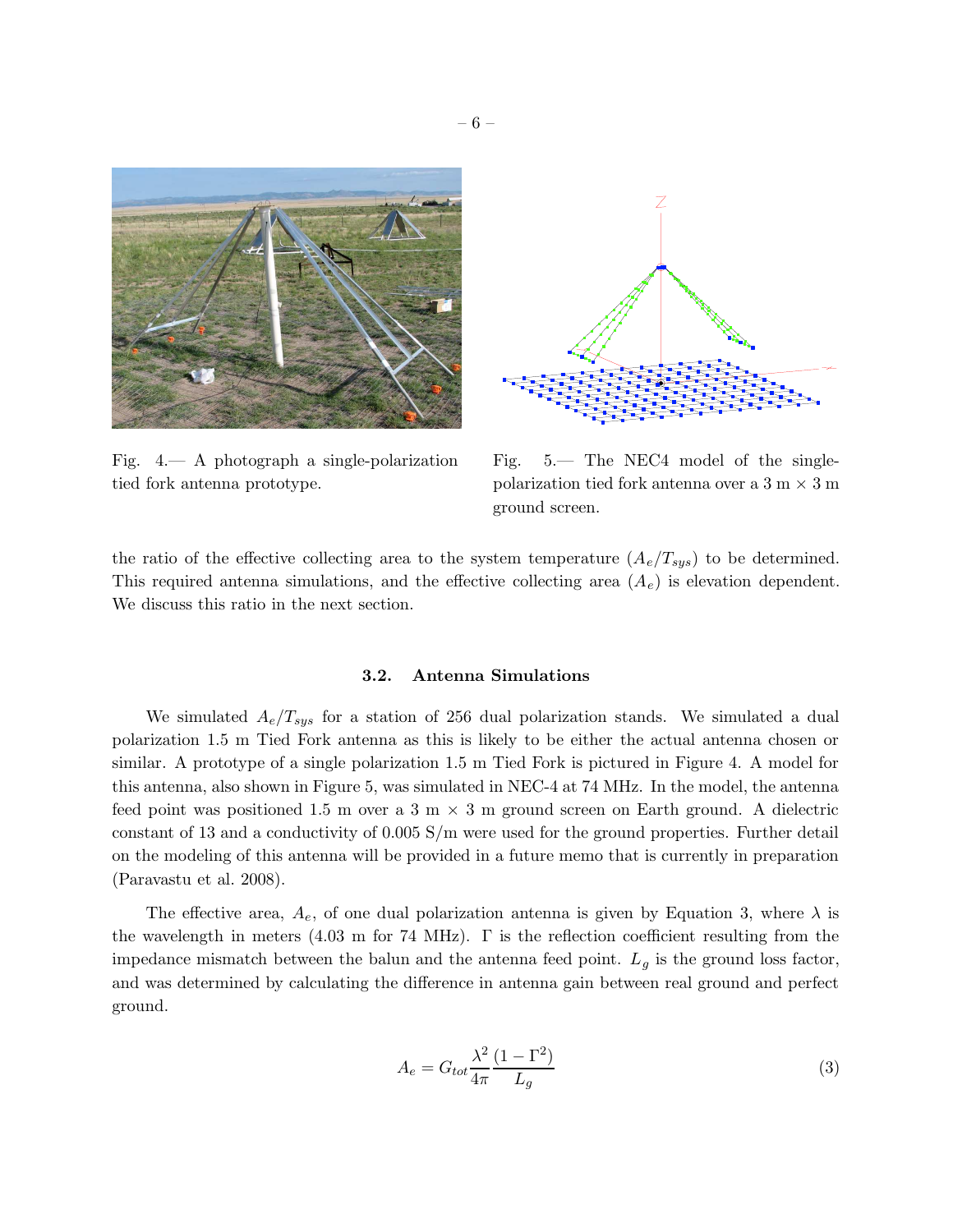



Fig. 4.— A photograph a single-polarization tied fork antenna prototype.

Fig. 5.— The NEC4 model of the singlepolarization tied fork antenna over a  $3 \text{ m} \times 3 \text{ m}$ ground screen.

the ratio of the effective collecting area to the system temperature  $(A_e/T_{sys})$  to be determined. This required antenna simulations, and the effective collecting area  $(A_e)$  is elevation dependent. We discuss this ratio in the next section.

## 3.2. Antenna Simulations

We simulated  $A_e/T_{sys}$  for a station of 256 dual polarization stands. We simulated a dual polarization 1.5 m Tied Fork antenna as this is likely to be either the actual antenna chosen or similar. A prototype of a single polarization 1.5 m Tied Fork is pictured in Figure 4. A model for this antenna, also shown in Figure 5, was simulated in NEC-4 at 74 MHz. In the model, the antenna feed point was positioned 1.5 m over a 3 m  $\times$  3 m ground screen on Earth ground. A dielectric constant of 13 and a conductivity of 0.005 S/m were used for the ground properties. Further detail on the modeling of this antenna will be provided in a future memo that is currently in preparation (Paravastu et al. 2008).

The effective area,  $A_e$ , of one dual polarization antenna is given by Equation 3, where  $\lambda$  is the wavelength in meters (4.03 m for 74 MHz). Γ is the reflection coefficient resulting from the impedance mismatch between the balun and the antenna feed point.  $L_g$  is the ground loss factor, and was determined by calculating the difference in antenna gain between real ground and perfect ground.

$$
A_e = G_{tot} \frac{\lambda^2}{4\pi} \frac{(1 - \Gamma^2)}{L_g} \tag{3}
$$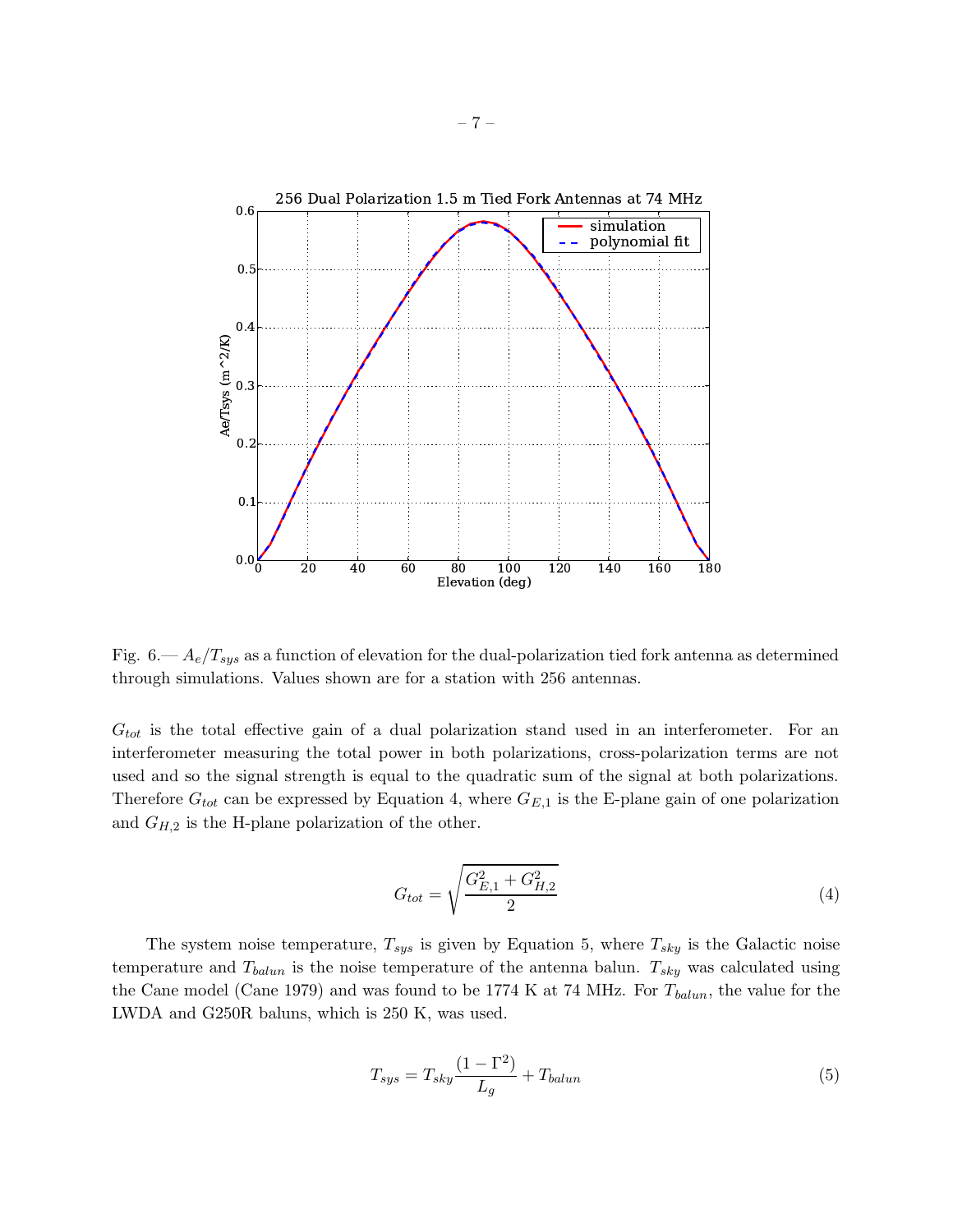

Fig.  $6 - A_e/T_{sys}$  as a function of elevation for the dual-polarization tied fork antenna as determined through simulations. Values shown are for a station with 256 antennas.

 $G_{tot}$  is the total effective gain of a dual polarization stand used in an interferometer. For an interferometer measuring the total power in both polarizations, cross-polarization terms are not used and so the signal strength is equal to the quadratic sum of the signal at both polarizations. Therefore  $G_{tot}$  can be expressed by Equation 4, where  $G_{E,1}$  is the E-plane gain of one polarization and  $G_{H,2}$  is the H-plane polarization of the other.

$$
G_{tot} = \sqrt{\frac{G_{E,1}^2 + G_{H,2}^2}{2}}\tag{4}
$$

The system noise temperature,  $T_{sys}$  is given by Equation 5, where  $T_{sky}$  is the Galactic noise temperature and  $T_{\text{balun}}$  is the noise temperature of the antenna balun.  $T_{sky}$  was calculated using the Cane model (Cane 1979) and was found to be 1774 K at 74 MHz. For  $T_{\text{balun}}$ , the value for the LWDA and G250R baluns, which is 250 K, was used.

$$
T_{sys} = T_{sky} \frac{(1 - \Gamma^2)}{L_g} + T_{balun}
$$
\n<sup>(5)</sup>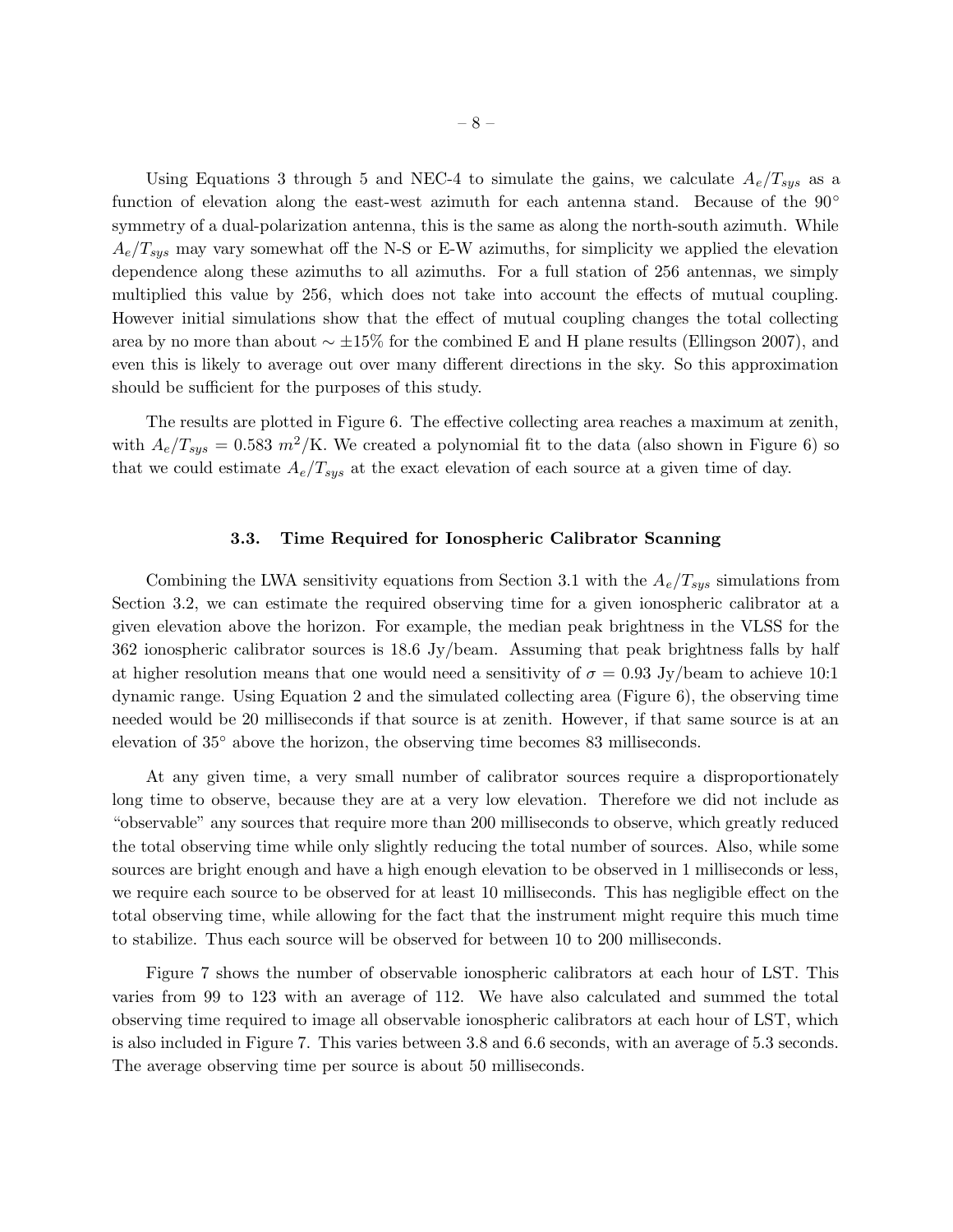Using Equations 3 through 5 and NEC-4 to simulate the gains, we calculate  $A_e/T_{sys}$  as a function of elevation along the east-west azimuth for each antenna stand. Because of the 90° symmetry of a dual-polarization antenna, this is the same as along the north-south azimuth. While  $A_e/T_{sys}$  may vary somewhat off the N-S or E-W azimuths, for simplicity we applied the elevation dependence along these azimuths to all azimuths. For a full station of 256 antennas, we simply multiplied this value by 256, which does not take into account the effects of mutual coupling. However initial simulations show that the effect of mutual coupling changes the total collecting area by no more than about ∼ ±15% for the combined E and H plane results (Ellingson 2007), and even this is likely to average out over many different directions in the sky. So this approximation should be sufficient for the purposes of this study.

The results are plotted in Figure 6. The effective collecting area reaches a maximum at zenith, with  $A_e/T_{sus} = 0.583 \frac{m^2}{\text{K}}$ . We created a polynomial fit to the data (also shown in Figure 6) so that we could estimate  $A_e/T_{sys}$  at the exact elevation of each source at a given time of day.

## 3.3. Time Required for Ionospheric Calibrator Scanning

Combining the LWA sensitivity equations from Section 3.1 with the  $A_e/T_{sys}$  simulations from Section 3.2, we can estimate the required observing time for a given ionospheric calibrator at a given elevation above the horizon. For example, the median peak brightness in the VLSS for the 362 ionospheric calibrator sources is 18.6 Jy/beam. Assuming that peak brightness falls by half at higher resolution means that one would need a sensitivity of  $\sigma = 0.93$  Jy/beam to achieve 10:1 dynamic range. Using Equation 2 and the simulated collecting area (Figure 6), the observing time needed would be 20 milliseconds if that source is at zenith. However, if that same source is at an elevation of 35◦ above the horizon, the observing time becomes 83 milliseconds.

At any given time, a very small number of calibrator sources require a disproportionately long time to observe, because they are at a very low elevation. Therefore we did not include as "observable" any sources that require more than 200 milliseconds to observe, which greatly reduced the total observing time while only slightly reducing the total number of sources. Also, while some sources are bright enough and have a high enough elevation to be observed in 1 milliseconds or less, we require each source to be observed for at least 10 milliseconds. This has negligible effect on the total observing time, while allowing for the fact that the instrument might require this much time to stabilize. Thus each source will be observed for between 10 to 200 milliseconds.

Figure 7 shows the number of observable ionospheric calibrators at each hour of LST. This varies from 99 to 123 with an average of 112. We have also calculated and summed the total observing time required to image all observable ionospheric calibrators at each hour of LST, which is also included in Figure 7. This varies between 3.8 and 6.6 seconds, with an average of 5.3 seconds. The average observing time per source is about 50 milliseconds.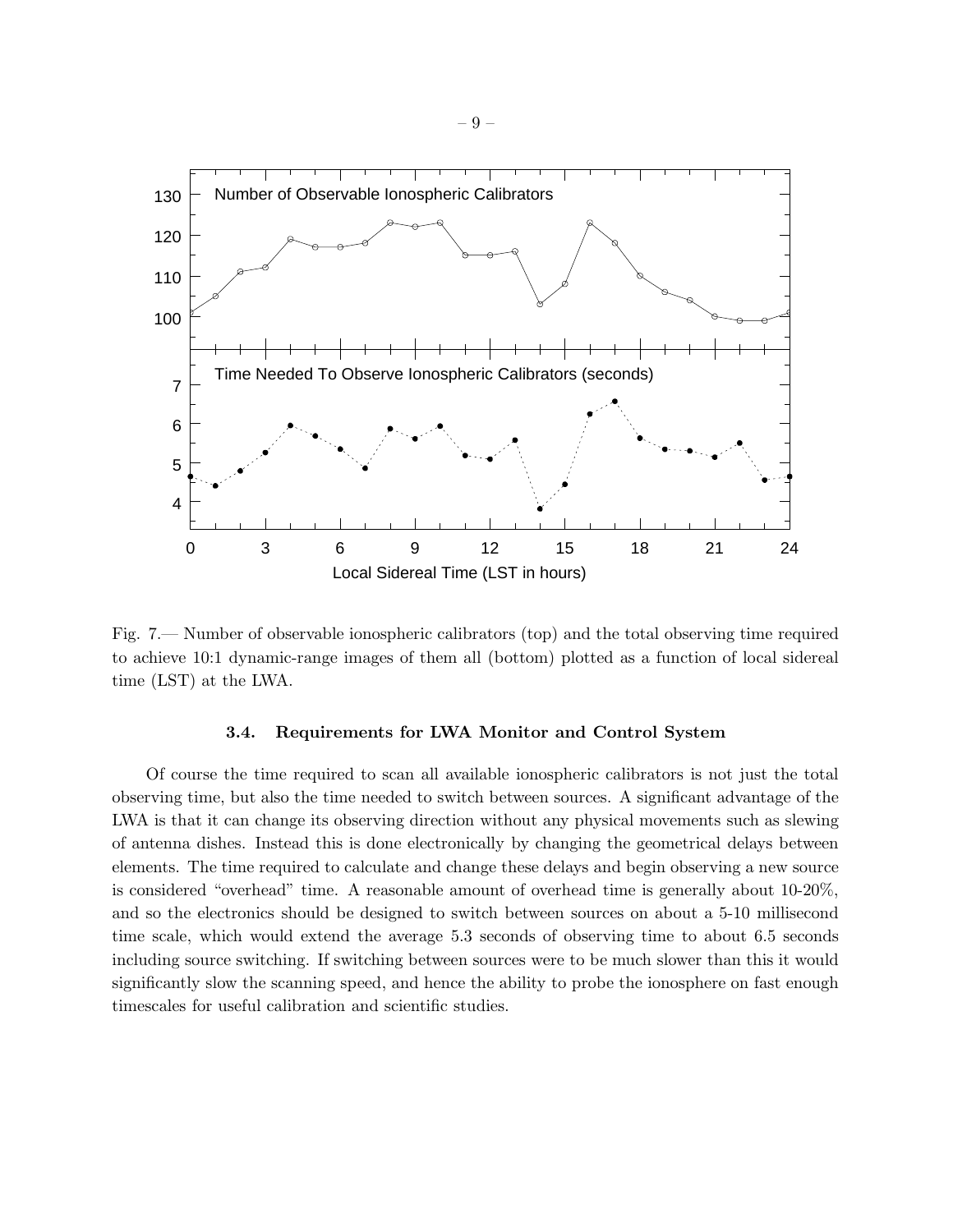

Fig. 7.— Number of observable ionospheric calibrators (top) and the total observing time required to achieve 10:1 dynamic-range images of them all (bottom) plotted as a function of local sidereal time (LST) at the LWA.

#### 3.4. Requirements for LWA Monitor and Control System

Of course the time required to scan all available ionospheric calibrators is not just the total observing time, but also the time needed to switch between sources. A significant advantage of the LWA is that it can change its observing direction without any physical movements such as slewing of antenna dishes. Instead this is done electronically by changing the geometrical delays between elements. The time required to calculate and change these delays and begin observing a new source is considered "overhead" time. A reasonable amount of overhead time is generally about 10-20%, and so the electronics should be designed to switch between sources on about a 5-10 millisecond time scale, which would extend the average 5.3 seconds of observing time to about 6.5 seconds including source switching. If switching between sources were to be much slower than this it would significantly slow the scanning speed, and hence the ability to probe the ionosphere on fast enough timescales for useful calibration and scientific studies.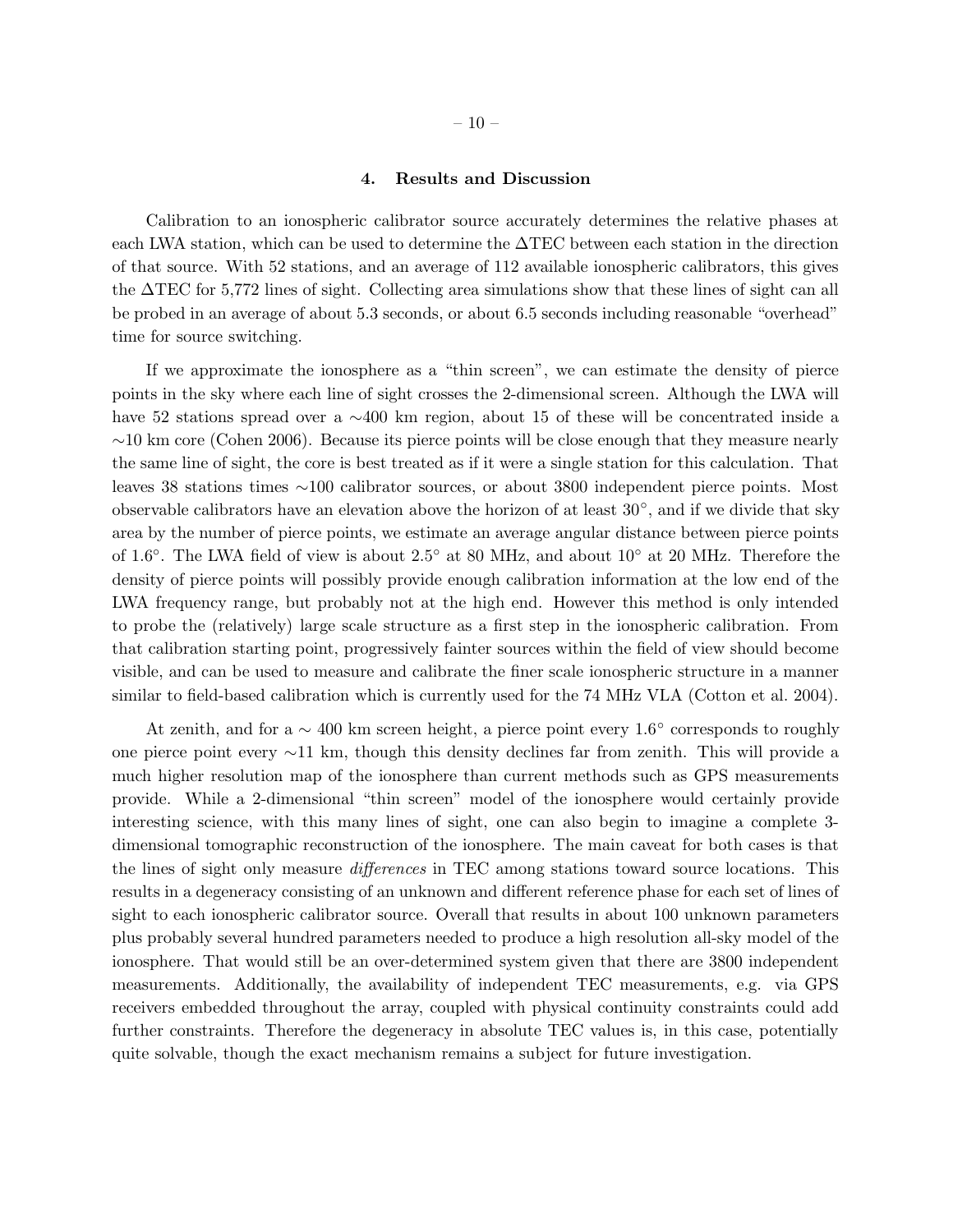### 4. Results and Discussion

Calibration to an ionospheric calibrator source accurately determines the relative phases at each LWA station, which can be used to determine the ∆TEC between each station in the direction of that source. With 52 stations, and an average of 112 available ionospheric calibrators, this gives the ∆TEC for 5,772 lines of sight. Collecting area simulations show that these lines of sight can all be probed in an average of about 5.3 seconds, or about 6.5 seconds including reasonable "overhead" time for source switching.

If we approximate the ionosphere as a "thin screen", we can estimate the density of pierce points in the sky where each line of sight crosses the 2-dimensional screen. Although the LWA will have 52 stations spread over a ∼400 km region, about 15 of these will be concentrated inside a  $~\sim$ 10 km core (Cohen 2006). Because its pierce points will be close enough that they measure nearly the same line of sight, the core is best treated as if it were a single station for this calculation. That leaves 38 stations times ∼100 calibrator sources, or about 3800 independent pierce points. Most observable calibrators have an elevation above the horizon of at least 30◦ , and if we divide that sky area by the number of pierce points, we estimate an average angular distance between pierce points of 1.6◦ . The LWA field of view is about 2.5◦ at 80 MHz, and about 10◦ at 20 MHz. Therefore the density of pierce points will possibly provide enough calibration information at the low end of the LWA frequency range, but probably not at the high end. However this method is only intended to probe the (relatively) large scale structure as a first step in the ionospheric calibration. From that calibration starting point, progressively fainter sources within the field of view should become visible, and can be used to measure and calibrate the finer scale ionospheric structure in a manner similar to field-based calibration which is currently used for the 74 MHz VLA (Cotton et al. 2004).

At zenith, and for a  $\sim$  400 km screen height, a pierce point every 1.6 $^{\circ}$  corresponds to roughly one pierce point every ∼11 km, though this density declines far from zenith. This will provide a much higher resolution map of the ionosphere than current methods such as GPS measurements provide. While a 2-dimensional "thin screen" model of the ionosphere would certainly provide interesting science, with this many lines of sight, one can also begin to imagine a complete 3 dimensional tomographic reconstruction of the ionosphere. The main caveat for both cases is that the lines of sight only measure differences in TEC among stations toward source locations. This results in a degeneracy consisting of an unknown and different reference phase for each set of lines of sight to each ionospheric calibrator source. Overall that results in about 100 unknown parameters plus probably several hundred parameters needed to produce a high resolution all-sky model of the ionosphere. That would still be an over-determined system given that there are 3800 independent measurements. Additionally, the availability of independent TEC measurements, e.g. via GPS receivers embedded throughout the array, coupled with physical continuity constraints could add further constraints. Therefore the degeneracy in absolute TEC values is, in this case, potentially quite solvable, though the exact mechanism remains a subject for future investigation.